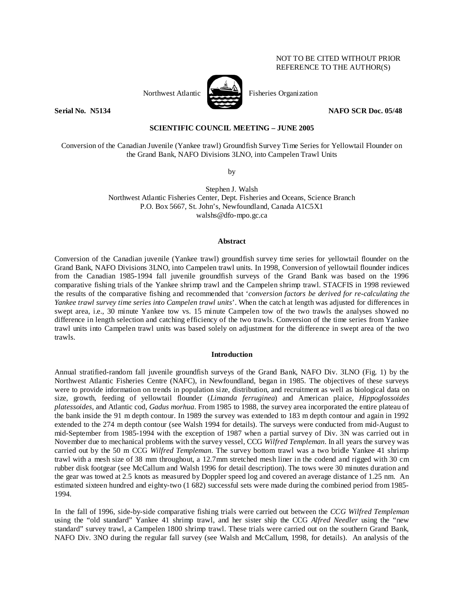# NOT TO BE CITED WITHOUT PRIOR REFERENCE TO THE AUTHOR(S)



Northwest Atlantic **No. 1989** Fisheries Organization

**Serial No. N5134** NAFO SCR Doc. 05/48

# **SCIENTIFIC COUNCIL MEETING – JUNE 2005**

Conversion of the Canadian Juvenile (Yankee trawl) Groundfish Survey Time Series for Yellowtail Flounder on the Grand Bank, NAFO Divisions 3LNO, into Campelen Trawl Units

by

Stephen J. Walsh Northwest Atlantic Fisheries Center, Dept. Fisheries and Oceans, Science Branch P.O. Box 5667, St. John's, Newfoundland, Canada A1C5X1 walshs@dfo-mpo.gc.ca

#### **Abstract**

Conversion of the Canadian juvenile (Yankee trawl) groundfish survey time series for yellowtail flounder on the Grand Bank, NAFO Divisions 3LNO, into Campelen trawl units. In 1998, Conversion of yellowtail flounder indices from the Canadian 1985-1994 fall juvenile groundfish surveys of the Grand Bank was based on the 1996 comparative fishing trials of the Yankee shrimp trawl and the Campelen shrimp trawl. STACFIS in 1998 reviewed the results of the comparative fishing and recommended that '*conversion factors be derived for re-calculating the Yankee trawl survey time series into Campelen trawl units*'. When the catch at length was adjusted for differences in swept area, i.e., 30 minute Yankee tow vs. 15 minute Campelen tow of the two trawls the analyses showed no difference in length selection and catching efficiency of the two trawls. Conversion of the time series from Yankee trawl units into Campelen trawl units was based solely on adjustment for the difference in swept area of the two trawls.

# **Introduction**

Annual stratified-random fall juvenile groundfish surveys of the Grand Bank, NAFO Div. 3LNO (Fig. 1) by the Northwest Atlantic Fisheries Centre (NAFC), in Newfoundland, began in 1985. The objectives of these surveys were to provide information on trends in population size, distribution, and recruitment as well as biological data on size, growth, feeding of yellowtail flounder (*Limanda ferruginea*) and American plaice, *Hippoglossoides platessoides*, and Atlantic cod, *Gadus morhua*. From 1985 to 1988, the survey area incorporated the entire plateau of the bank inside the 91 m depth contour. In 1989 the survey was extended to 183 m depth contour and again in 1992 extended to the 274 m depth contour (see Walsh 1994 for details). The surveys were conducted from mid-August to mid-September from 1985-1994 with the exception of 1987 when a partial survey of Div. 3N was carried out in November due to mechanical problems with the survey vessel, CCG *Wilfred Templeman*. In all years the survey was carried out by the 50 m CCG *Wilfred Templeman*. The survey bottom trawl was a two bridle Yankee 41 shrimp trawl with a mesh size of 38 mm throughout, a 12.7mm stretched mesh liner in the codend and rigged with 30 cm rubber disk footgear (see McCallum and Walsh 1996 for detail description). The tows were 30 minutes duration and the gear was towed at 2.5 knots as measured by Doppler speed log and covered an average distance of 1.25 nm. An estimated sixteen hundred and eighty-two (1 682) successful sets were made during the combined period from 1985- 1994.

In the fall of 1996, side-by-side comparative fishing trials were carried out between the *CCG Wilfred Templeman* using the "old standard" Yankee 41 shrimp trawl, and her sister ship the CCG *Alfred Needler* using the "new standard" survey trawl, a Campelen 1800 shrimp trawl. These trials were carried out on the southern Grand Bank, NAFO Div. 3NO during the regular fall survey (see Walsh and McCallum, 1998, for details). An analysis of the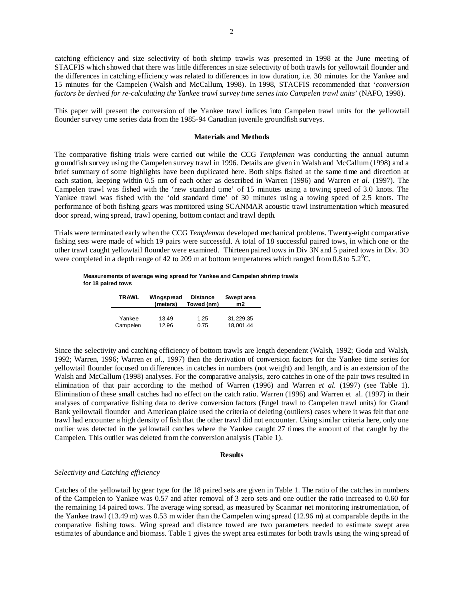catching efficiency and size selectivity of both shrimp trawls was presented in 1998 at the June meeting of STACFIS which showed that there was little differences in size selectivity of both trawls for yellowtail flounder and the differences in catching efficiency was related to differences in tow duration, i.e. 30 minutes for the Yankee and 15 minutes for the Campelen (Walsh and McCallum, 1998). In 1998, STACFIS recommended that '*conversion factors be derived for re-calculating the Yankee trawl survey time series into Campelen trawl units*' (NAFO, 1998).

This paper will present the conversion of the Yankee trawl indices into Campelen trawl units for the yellowtail flounder survey time series data from the 1985-94 Canadian juvenile groundfish surveys.

## **Materials and Methods**

The comparative fishing trials were carried out while the CCG *Templeman* was conducting the annual autumn groundfish survey using the Campelen survey trawl in 1996. Details are given in Walsh and McCallum (1998) and a brief summary of some highlights have been duplicated here. Both ships fished at the same time and direction at each station, keeping within 0.5 nm of each other as described in Warren (1996) and Warren *et al.* (1997). The Campelen trawl was fished with the 'new standard time' of 15 minutes using a towing speed of 3.0 knots. The Yankee trawl was fished with the 'old standard time' of 30 minutes using a towing speed of 2.5 knots. The performance of both fishing gears was monitored using SCANMAR acoustic trawl instrumentation which measured door spread, wing spread, trawl opening, bottom contact and trawl depth.

Trials were terminated early when the CCG *Templeman* developed mechanical problems. Twenty-eight comparative fishing sets were made of which 19 pairs were successful. A total of 18 successful paired tows, in which one or the other trawl caught yellowtail flounder were examined. Thirteen paired tows in Div 3N and 5 paired tows in Div. 3O were completed in a depth range of 42 to 209 m at bottom temperatures which ranged from 0.8 to 5.2<sup>o</sup>C.

#### **Measurements of average wing spread for Yankee and Campelen shrimp trawls for 18 paired tows**

| <b>TRAWL</b> | Wingspread<br>(meters) | <b>Distance</b><br>Towed (nm) | Swept area<br>m2 |  |  |
|--------------|------------------------|-------------------------------|------------------|--|--|
| Yankee       | 13.49                  | 1.25                          | 31,229.35        |  |  |
| Campelen     | 12.96                  | 0.75                          | 18.001.44        |  |  |

Since the selectivity and catching efficiency of bottom trawls are length dependent (Walsh, 1992; Godø and Walsh, 1992; Warren, 1996; Warren *et al*., 1997) then the derivation of conversion factors for the Yankee time series for yellowtail flounder focused on differences in catches in numbers (not weight) and length, and is an extension of the Walsh and McCallum (1998) analyses. For the comparative analysis, zero catches in one of the pair tows resulted in elimination of that pair according to the method of Warren (1996) and Warren *et al.* (1997) (see Table 1). Elimination of these small catches had no effect on the catch ratio. Warren (1996) and Warren et al. (1997) in their analyses of comparative fishing data to derive conversion factors (Engel trawl to Campelen trawl units) for Grand Bank yellowtail flounder and American plaice used the criteria of deleting (outliers) cases where it was felt that one trawl had encounter a high density of fish that the other trawl did not encounter. Using similar criteria here, only one outlier was detected in the yellowtail catches where the Yankee caught 27 times the amount of that caught by the Campelen. This outlier was deleted from the conversion analysis (Table 1).

## **Results**

### *Selectivity and Catching efficiency*

Catches of the yellowtail by gear type for the 18 paired sets are given in Table 1. The ratio of the catches in numbers of the Campelen to Yankee was 0.57 and after removal of 3 zero sets and one outlier the ratio increased to 0.60 for the remaining 14 paired tows. The average wing spread, as measured by Scanmar net monitoring instrumentation, of the Yankee trawl (13.49 m) was 0.53 m wider than the Campelen wing spread (12.96 m) at comparable depths in the comparative fishing tows. Wing spread and distance towed are two parameters needed to estimate swept area estimates of abundance and biomass. Table 1 gives the swept area estimates for both trawls using the wing spread of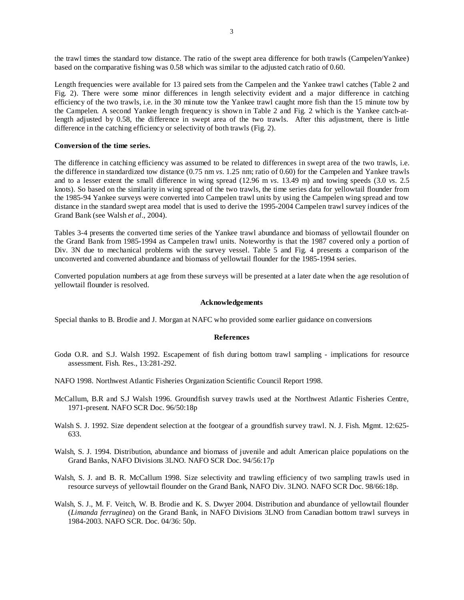the trawl times the standard tow distance. The ratio of the swept area difference for both trawls (Campelen/Yankee) based on the comparative fishing was 0.58 which was similar to the adjusted catch ratio of 0.60.

Length frequencies were available for 13 paired sets from the Campelen and the Yankee trawl catches (Table 2 and Fig. 2). There were some minor differences in length selectivity evident and a major difference in catching efficiency of the two trawls, i.e. in the 30 minute tow the Yankee trawl caught more fish than the 15 minute tow by the Campelen. A second Yankee length frequency is shown in Table 2 and Fig. 2 which is the Yankee catch-atlength adjusted by 0.58, the difference in swept area of the two trawls. After this adjustment, there is little difference in the catching efficiency or selectivity of both trawls (Fig. 2).

## **Conversion of the time series.**

The difference in catching efficiency was assumed to be related to differences in swept area of the two trawls, i.e. the difference in standardized tow distance (0.75 nm *vs*. 1.25 nm; ratio of 0.60) for the Campelen and Yankee trawls and to a lesser extent the small difference in wing spread (12.96 m *vs*. 13.49 m) and towing speeds (3.0 *vs*. 2.5 knots). So based on the similarity in wing spread of the two trawls, the time series data for yellowtail flounder from the 1985-94 Yankee surveys were converted into Campelen trawl units by using the Campelen wing spread and tow distance in the standard swept area model that is used to derive the 1995-2004 Campelen trawl survey indices of the Grand Bank (see Walsh *et al*., 2004).

Tables 3-4 presents the converted time series of the Yankee trawl abundance and biomass of yellowtail flounder on the Grand Bank from 1985-1994 as Campelen trawl units. Noteworthy is that the 1987 covered only a portion of Div. 3N due to mechanical problems with the survey vessel. Table 5 and Fig. 4 presents a comparison of the unconverted and converted abundance and biomass of yellowtail flounder for the 1985-1994 series.

Converted population numbers at age from these surveys will be presented at a later date when the age resolution of yellowtail flounder is resolved.

### **Acknowledgements**

Special thanks to B. Brodie and J. Morgan at NAFC who provided some earlier guidance on conversions

### **References**

- Godø O.R. and S.J. Walsh 1992. Escapement of fish during bottom trawl sampling implications for resource assessment. Fish. Res., 13:281-292.
- NAFO 1998. Northwest Atlantic Fisheries Organization Scientific Council Report 1998.
- McCallum, B.R and S.J Walsh 1996. Groundfish survey trawls used at the Northwest Atlantic Fisheries Centre, 1971-present. NAFO SCR Doc. 96/50:18p
- Walsh S. J. 1992. Size dependent selection at the footgear of a groundfish survey trawl. N. J. Fish. Mgmt. 12:625-633.
- Walsh, S. J. 1994. Distribution, abundance and biomass of juvenile and adult American plaice populations on the Grand Banks, NAFO Divisions 3LNO. NAFO SCR Doc. 94/56:17p
- Walsh, S. J. and B. R. McCallum 1998. Size selectivity and trawling efficiency of two sampling trawls used in resource surveys of yellowtail flounder on the Grand Bank, NAFO Div. 3LNO. NAFO SCR Doc. 98/66:18p.
- Walsh, S. J., M. F. Veitch, W. B. Brodie and K. S. Dwyer 2004. Distribution and abundance of yellowtail flounder (*Limanda ferruginea*) on the Grand Bank, in NAFO Divisions 3LNO from Canadian bottom trawl surveys in 1984-2003. NAFO SCR. Doc. 04/36: 50p.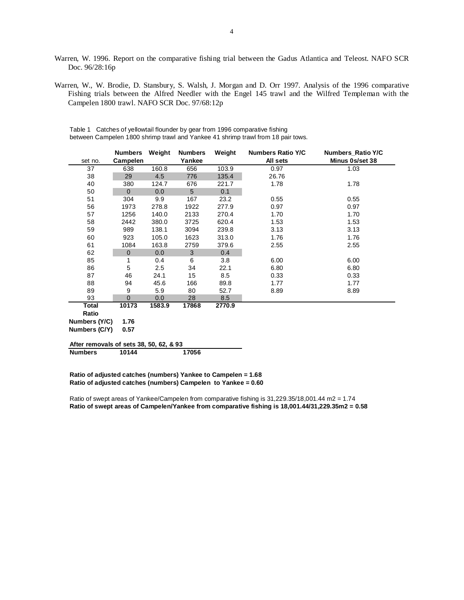- Warren, W. 1996. Report on the comparative fishing trial between the Gadus Atlantica and Teleost. NAFO SCR Doc. 96/28:16p
- Warren, W., W. Brodie, D. Stansbury, S. Walsh, J. Morgan and D. Orr 1997. Analysis of the 1996 comparative Fishing trials between the Alfred Needler with the Engel 145 trawl and the Wilfred Templeman with the Campelen 1800 trawl. NAFO SCR Doc. 97/68:12p

|                                         | <b>Numbers</b> | Weight | <b>Numbers</b> | Weight | <b>Numbers Ratio Y/C</b> | Numbers_Ratio Y/C |
|-----------------------------------------|----------------|--------|----------------|--------|--------------------------|-------------------|
| set no.                                 | Campelen       |        | Yankee         |        | All sets                 | Minus 0s/set 38   |
| 37                                      | 638            | 160.8  | 656            | 103.9  | 0.97                     | 1.03              |
| 38                                      | 29             | 4.5    | 776            | 135.4  | 26.76                    |                   |
| 40                                      | 380            | 124.7  | 676            | 221.7  | 1.78                     | 1.78              |
| 50                                      | $\Omega$       | 0.0    | 5              | 0.1    |                          |                   |
| 51                                      | 304            | 9.9    | 167            | 23.2   | 0.55                     | 0.55              |
| 56                                      | 1973           | 278.8  | 1922           | 277.9  | 0.97                     | 0.97              |
| 57                                      | 1256           | 140.0  | 2133           | 270.4  | 1.70                     | 1.70              |
| 58                                      | 2442           | 380.0  | 3725           | 620.4  | 1.53                     | 1.53              |
| 59                                      | 989            | 138.1  | 3094           | 239.8  | 3.13                     | 3.13              |
| 60                                      | 923            | 105.0  | 1623           | 313.0  | 1.76                     | 1.76              |
| 61                                      | 1084           | 163.8  | 2759           | 379.6  | 2.55                     | 2.55              |
| 62                                      | $\mathbf{0}$   | 0.0    | 3              | 0.4    |                          |                   |
| 85                                      | 1              | 0.4    | 6              | 3.8    | 6.00                     | 6.00              |
| 86                                      | 5              | 2.5    | 34             | 22.1   | 6.80                     | 6.80              |
| 87                                      | 46             | 24.1   | 15             | 8.5    | 0.33                     | 0.33              |
| 88                                      | 94             | 45.6   | 166            | 89.8   | 1.77                     | 1.77              |
| 89                                      | 9              | 5.9    | 80             | 52.7   | 8.89                     | 8.89              |
| 93                                      | $\Omega$       | 0.0    | 28             | 8.5    |                          |                   |
| Total                                   | 10173          | 1583.9 | 17868          | 2770.9 |                          |                   |
| Ratio                                   |                |        |                |        |                          |                   |
| Numbers (Y/C)                           | 1.76           |        |                |        |                          |                   |
| Numbers (C/Y)                           | 0.57           |        |                |        |                          |                   |
| After removals of sets 38, 50, 62, & 93 |                |        |                |        |                          |                   |
| <b>Numbers</b>                          | 10144          |        | 17056          |        |                          |                   |

Table 1 Catches of yellowtail flounder by gear from 1996 comparative fishing between Campelen 1800 shrimp trawl and Yankee 41 shrimp trawl from 18 pair tows.

**Ratio of adjusted catches (numbers) Yankee to Campelen = 1.68 Ratio of adjusted catches (numbers) Campelen to Yankee = 0.60**

Ratio of swept areas of Yankee/Campelen from comparative fishing is 31,229.35/18,001.44 m2 = 1.74 **Ratio of swept areas of Campelen/Yankee from comparative fishing is 18,001.44/31,229.35m2 = 0.58**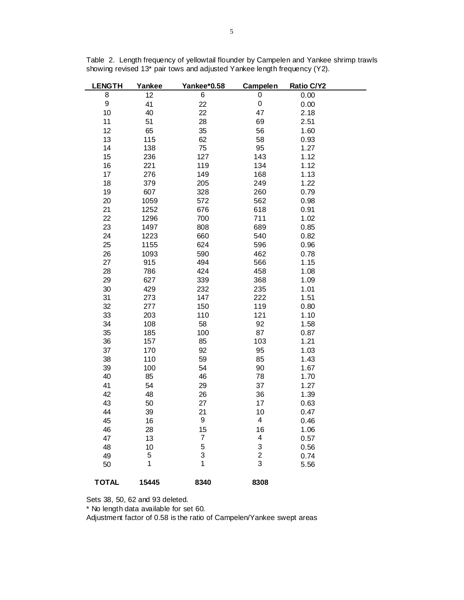| <b>LENGTH</b><br>Yankee |       | Yankee*0.58    | <b>Campelen</b> | Ratio C/Y2 |  |
|-------------------------|-------|----------------|-----------------|------------|--|
| 8                       | 12    | 6              | 0               | 0.00       |  |
| 9                       | 41    | 22             | 0               | 0.00       |  |
| 10                      | 40    | 22             | 47              | 2.18       |  |
| 11                      | 51    | 28             | 69              | 2.51       |  |
| 12                      | 65    | 35             | 56              | 1.60       |  |
| 13                      | 115   | 62             | 58              | 0.93       |  |
| 14                      | 138   | 75             | 95              | 1.27       |  |
| 15                      | 236   | 127            | 143             | 1.12       |  |
| 16                      | 221   | 119            | 134             | 1.12       |  |
| 17                      | 276   | 149            | 168             | 1.13       |  |
| 18                      | 379   | 205            | 249             | 1.22       |  |
| 19                      | 607   | 328            | 260             | 0.79       |  |
| 20                      | 1059  | 572            | 562             | 0.98       |  |
| 21                      | 1252  | 676            | 618             | 0.91       |  |
| 22                      | 1296  | 700            | 711             | 1.02       |  |
| 23                      | 1497  | 808            | 689             | 0.85       |  |
| 24                      | 1223  | 660            | 540             | 0.82       |  |
| 25                      | 1155  | 624            | 596             | 0.96       |  |
| 26                      | 1093  | 590            | 462             | 0.78       |  |
| 27                      | 915   | 494            | 566             | 1.15       |  |
| 28                      | 786   | 424            | 458             | 1.08       |  |
| 29                      | 627   | 339            | 368             | 1.09       |  |
| 30                      | 429   | 232            | 235             | 1.01       |  |
| 31                      | 273   | 147            | 222             | 1.51       |  |
| 32                      | 277   | 150            | 119             | 0.80       |  |
| 33                      | 203   | 110            | 121             | 1.10       |  |
| 34                      | 108   | 58             | 92              | 1.58       |  |
| 35                      | 185   | 100            | 87              | 0.87       |  |
| 36                      | 157   | 85             | 103             | 1.21       |  |
| 37                      | 170   | 92             | 95              | 1.03       |  |
| 38                      | 110   | 59             | 85              | 1.43       |  |
| 39                      | 100   | 54             | 90              | 1.67       |  |
| 40                      | 85    | 46             | 78              | 1.70       |  |
| 41                      | 54    | 29             | 37              | 1.27       |  |
| 42                      | 48    | 26             | 36              | 1.39       |  |
| 43                      | 50    | 27             | 17              | 0.63       |  |
| 44                      | 39    | 21             | 10              | 0.47       |  |
| 45                      | 16    | 9              | 4               | 0.46       |  |
| 46                      | 28    | 15             | 16              | 1.06       |  |
| 47                      | 13    | $\overline{7}$ | 4               | 0.57       |  |
| 48                      | 10    | 5              | 3               | 0.56       |  |
| 49                      | 5     | 3              | $\overline{c}$  | 0.74       |  |
| 50                      | 1     | 1              | 3               | 5.56       |  |
| <b>TOTAL</b>            | 15445 | 8340           | 8308            |            |  |

Table 2. Length frequency of yellowtail flounder by Campelen and Yankee shrimp trawls showing revised 13\* pair tows and adjusted Yankee length frequency (Y2).

Sets 38, 50, 62 and 93 deleted.

\* No length data available for set 60.

Adjustment factor of 0.58 is the ratio of Campelen/Yankee swept areas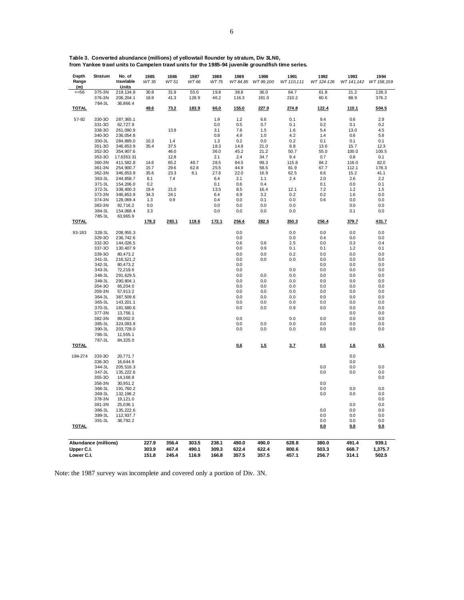| 30.8<br>31.9<br>55.0<br>19.8<br>38.8<br>36.0<br>64.7<br>61.8<br>21.2<br>128.3<br>$= 56$<br>375-3N<br>219, 134.8<br>376-3N<br>376.2<br>206, 204.1<br>18.8<br>41.3<br>128.9<br>46.2<br>116.3<br>191.0<br>210.2<br>60.6<br>88.9<br>784-3L<br>36,866.4<br><u>TOTAL</u><br>49.6<br>73.2<br>183.9<br>66.0<br>155.0<br>227.0<br>274.8<br>122.4<br><u>110.1</u><br>504.5<br>57-92<br>330-30<br>1.9<br>1.2<br>6.6<br>0.1<br>9.4<br>0.6<br>2.9<br>287,365.1<br>331-30<br>0.2<br>62,727.9<br>0.0<br>0.5<br>0.7<br>0.1<br>0.1<br>0.2<br>338-30<br>261,090.9<br>13.9<br>3.1<br>7.8<br>1.5<br>1.6<br>5.4<br>13.0<br>4.5<br>340-30<br>236,054.8<br>0.8<br>4.9<br>4.2<br>0.6<br>5.8<br>1.0<br>1.4<br>350-3L<br>284,889.0<br>10.3<br>1.4<br>0.2<br>0.2<br>1.3<br>0.0<br>0.1<br>0.1<br>0.1<br>351-30<br>37.5<br>14.8<br>12.3<br>346,653.9<br>35.4<br>18.3<br>21.0<br>8.8<br>13.6<br>15.7<br>352-30<br>36.0<br>45.2<br>55.0<br>100.0<br>100.5<br>354,907.6<br>46.0<br>21.2<br>50.7<br>353-30<br>17.6353.31<br>2.1<br>0.7<br>0.8<br>0.1<br>12.8<br>2.4<br>34.7<br>9.4<br>360-3N<br>411,582.8<br>48.7<br>28.5<br>94.5<br>84.2<br>82.0<br>14.6<br>65.2<br>99.3<br>115.8<br>116.0<br>361-3N<br>15.7<br>29.6<br>62.8<br>25.5<br>44.9<br>58.5<br>81.9<br>67.7<br>112.1<br>178.3<br>254,900.7<br>362-3N<br>35.6<br>27.6<br>22.0<br>62.5<br>8.6<br>15.2<br>41.1<br>346,653.9<br>23.3<br>8.1<br>16.9<br>363-3L<br>244,858.7<br>8.1<br>7.4<br>6.4<br>2.1<br>1.1<br>2.4<br>2.0<br>2.6<br>2.2<br>371-3L<br>154,206.0<br>0.2<br>0.1<br>0.6<br>0.4<br>0.1<br>0.0<br>0.1<br>372-3L<br>21.0<br>13.5<br>8.5<br>16.4<br>12.1<br>7.2<br>1.2<br>1.5<br>338,400.3<br>19.4<br>373-3N<br>346,653.9<br>34.3<br>24.1<br>6.4<br>6.9<br>3.2<br>0.2<br>0.2<br>1.6<br>0.0<br>374-3N<br>0.9<br>0.4<br>0.0<br>0.1<br>0.0<br>0.6<br>0.0<br>0.0<br>128,069.4<br>1.3<br>383-3N<br>92,716.2<br>0.0<br>0.0<br>0.0<br>0.0<br>0.0<br>0.0<br>0.0<br>384-3L<br>154,068.4<br>3.3<br>0.0<br>0.0<br>0.0<br>0.0<br>0.1<br>0.0<br>785-3L<br>63,965.9<br><b>TOTAL</b><br>178.2<br>283.1<br>119.6<br>172.1<br>256.4<br>282.5<br>350.3<br>256.4<br>379.7<br>431.7<br>328-3L<br>0.0<br>0.0<br>0.0<br>0.0<br>0.0<br>93-183<br>208, 955.3<br>329-30<br>236,742.6<br>0.0<br>0.0<br>0.4<br>0.0<br>0.0<br>332-30<br>144,026.5<br>0.6<br>0.6<br>2.5<br>0.0<br>0.3<br>0.4<br>337-30<br>130,407.9<br>0.0<br>0.9<br>0.1<br>0.1<br>1.2<br>0.1<br>339-30<br>0.0<br>0.2<br>0.0<br>0.0<br>0.0<br>80,473.2<br>0.0<br>341-3L<br>216,521.2<br>0.0<br>0.0<br>0.0<br>0.0<br>0.0<br>0.0<br>342-3L<br>80,473.2<br>0.0<br>0.0<br>0.0<br>0.0<br>343-3L<br>0.0<br>72,219.6<br>0.0<br>0.0<br>0.0<br>0.0<br>348-3L<br>291,629.5<br>0.0<br>0.0<br>0.0<br>0.0<br>0.0<br>0.0<br>349-3L<br>290,804.1<br>0.0<br>0.0<br>0.0<br>0.0<br>0.0<br>0.0<br>354-30<br>0.0<br>0.0<br>0.0<br>0.0<br>0.0<br>0.0<br>65,204.0<br>359-3N<br>0.0<br>0.0<br>0.0<br>0.0<br>57,913.2<br>0.0<br>0.0<br>0.0<br>364-3L<br>387,509.6<br>0.0<br>0.0<br>0.0<br>0.0<br>0.0<br>365-3L<br>143,201.1<br>0.0<br>0.0<br>0.0<br>0.0<br>0.0<br>0.0<br>0.0<br>0.9<br>0.0<br>0.0<br>370-3L<br>181,580.6<br>0.0<br>0.0<br>377-3N<br>13,756.1<br>0.0<br>0.0<br>382-3N<br>0.0<br>0.0<br>0.0<br>0.0<br>0.0<br>89,002.0<br>385-3L<br>0.0<br>0.0<br>0.0<br>0.0<br>0.0<br>324,093.9<br>0.0<br>390-3L<br>0.0<br>0.0<br>0.0<br>0.0<br>0.0<br>0.0<br>203,728.0<br>786-3L<br>11,555.1<br>787-3L<br>84,325.0<br><b>TOTAL</b><br>0.6<br>1.5<br>3.7<br>0.5<br>0.5<br>1.6<br>0.0<br>184-274<br>333-30<br>20,771.7<br>336-30<br>16,644.9<br>0.0<br>344-3L<br>205,516.3<br>0.0<br>0.0<br>0.0<br>347-3L<br>135,222.6<br>0.0<br>0.0<br>0.0<br>0.0<br>355-30<br>14,168.8<br>358-3N<br>0.0<br>30,951.2<br>0.0<br>0.0<br>366-3L<br>191,760.2<br>0.0<br>369-3L<br>0.0<br>0.0<br>0.0<br>132, 196.2<br>378-3N<br>19,121.0<br>0.0<br>0.0<br>381-3N<br>25,036.1<br>0.0<br>0.0<br>386-3L<br>135,222.6<br>0.0<br>0.0<br>389-3L<br>112,937.7<br>0.0<br>0.0<br>0.0<br>391-3L<br>38,792.2<br>0.0<br>0.0<br>0.0<br><b>TOTAL</b><br>0.0<br><u>0.0</u><br>0.0<br>Abundance (millions)<br>227.9<br>356.4<br>303.5<br>238.1<br>490.0<br>490.0<br>628.8<br>380.0<br>491.4<br>939.1<br>303.9<br>467.4<br>490.1<br>309.3<br>622.4<br>622.4<br>800.6<br>503.3<br>668.7<br>1,375.7<br>Upper C.I.<br>357.5<br>151.8<br>245.4<br>116.9<br>166.8<br>357.5<br>457.1<br>256.7<br>502.5<br>Lower C.I.<br>314.1 | Depth<br>Range<br>(m) | <b>Stratum</b> | No. of<br>trawlable<br>Units | 1985<br>WT 35 | 1986<br>WT 51 | 1987<br>WT 66 | 1988<br>WT 75 | 1989<br>WT 84,85 | 1990<br>WT 99,100 | 1991<br>WT 110,111 | 1992<br>WT 124-126 | 1993<br>WT 141,142 | 1994<br>WT 158,159 |
|---------------------------------------------------------------------------------------------------------------------------------------------------------------------------------------------------------------------------------------------------------------------------------------------------------------------------------------------------------------------------------------------------------------------------------------------------------------------------------------------------------------------------------------------------------------------------------------------------------------------------------------------------------------------------------------------------------------------------------------------------------------------------------------------------------------------------------------------------------------------------------------------------------------------------------------------------------------------------------------------------------------------------------------------------------------------------------------------------------------------------------------------------------------------------------------------------------------------------------------------------------------------------------------------------------------------------------------------------------------------------------------------------------------------------------------------------------------------------------------------------------------------------------------------------------------------------------------------------------------------------------------------------------------------------------------------------------------------------------------------------------------------------------------------------------------------------------------------------------------------------------------------------------------------------------------------------------------------------------------------------------------------------------------------------------------------------------------------------------------------------------------------------------------------------------------------------------------------------------------------------------------------------------------------------------------------------------------------------------------------------------------------------------------------------------------------------------------------------------------------------------------------------------------------------------------------------------------------------------------------------------------------------------------------------------------------------------------------------------------------------------------------------------------------------------------------------------------------------------------------------------------------------------------------------------------------------------------------------------------------------------------------------------------------------------------------------------------------------------------------------------------------------------------------------------------------------------------------------------------------------------------------------------------------------------------------------------------------------------------------------------------------------------------------------------------------------------------------------------------------------------------------------------------------------------------------------------------------------------------------------------------------------------------------------------------------------------------------------------------------------------------------------------------------------------------------------------------------------------------------------------------------------------------------------------------------------------------------------------------------------------------------------------------------------------------------------------------------------------------------------------------------------------------------------------------------------------------------------------------------------------------------------------------------------------------------------|-----------------------|----------------|------------------------------|---------------|---------------|---------------|---------------|------------------|-------------------|--------------------|--------------------|--------------------|--------------------|
|                                                                                                                                                                                                                                                                                                                                                                                                                                                                                                                                                                                                                                                                                                                                                                                                                                                                                                                                                                                                                                                                                                                                                                                                                                                                                                                                                                                                                                                                                                                                                                                                                                                                                                                                                                                                                                                                                                                                                                                                                                                                                                                                                                                                                                                                                                                                                                                                                                                                                                                                                                                                                                                                                                                                                                                                                                                                                                                                                                                                                                                                                                                                                                                                                                                                                                                                                                                                                                                                                                                                                                                                                                                                                                                                                                                                                                                                                                                                                                                                                                                                                                                                                                                                                                                                                                                           |                       |                |                              |               |               |               |               |                  |                   |                    |                    |                    |                    |
|                                                                                                                                                                                                                                                                                                                                                                                                                                                                                                                                                                                                                                                                                                                                                                                                                                                                                                                                                                                                                                                                                                                                                                                                                                                                                                                                                                                                                                                                                                                                                                                                                                                                                                                                                                                                                                                                                                                                                                                                                                                                                                                                                                                                                                                                                                                                                                                                                                                                                                                                                                                                                                                                                                                                                                                                                                                                                                                                                                                                                                                                                                                                                                                                                                                                                                                                                                                                                                                                                                                                                                                                                                                                                                                                                                                                                                                                                                                                                                                                                                                                                                                                                                                                                                                                                                                           |                       |                |                              |               |               |               |               |                  |                   |                    |                    |                    |                    |
|                                                                                                                                                                                                                                                                                                                                                                                                                                                                                                                                                                                                                                                                                                                                                                                                                                                                                                                                                                                                                                                                                                                                                                                                                                                                                                                                                                                                                                                                                                                                                                                                                                                                                                                                                                                                                                                                                                                                                                                                                                                                                                                                                                                                                                                                                                                                                                                                                                                                                                                                                                                                                                                                                                                                                                                                                                                                                                                                                                                                                                                                                                                                                                                                                                                                                                                                                                                                                                                                                                                                                                                                                                                                                                                                                                                                                                                                                                                                                                                                                                                                                                                                                                                                                                                                                                                           |                       |                |                              |               |               |               |               |                  |                   |                    |                    |                    |                    |
|                                                                                                                                                                                                                                                                                                                                                                                                                                                                                                                                                                                                                                                                                                                                                                                                                                                                                                                                                                                                                                                                                                                                                                                                                                                                                                                                                                                                                                                                                                                                                                                                                                                                                                                                                                                                                                                                                                                                                                                                                                                                                                                                                                                                                                                                                                                                                                                                                                                                                                                                                                                                                                                                                                                                                                                                                                                                                                                                                                                                                                                                                                                                                                                                                                                                                                                                                                                                                                                                                                                                                                                                                                                                                                                                                                                                                                                                                                                                                                                                                                                                                                                                                                                                                                                                                                                           |                       |                |                              |               |               |               |               |                  |                   |                    |                    |                    |                    |
|                                                                                                                                                                                                                                                                                                                                                                                                                                                                                                                                                                                                                                                                                                                                                                                                                                                                                                                                                                                                                                                                                                                                                                                                                                                                                                                                                                                                                                                                                                                                                                                                                                                                                                                                                                                                                                                                                                                                                                                                                                                                                                                                                                                                                                                                                                                                                                                                                                                                                                                                                                                                                                                                                                                                                                                                                                                                                                                                                                                                                                                                                                                                                                                                                                                                                                                                                                                                                                                                                                                                                                                                                                                                                                                                                                                                                                                                                                                                                                                                                                                                                                                                                                                                                                                                                                                           |                       |                |                              |               |               |               |               |                  |                   |                    |                    |                    |                    |
|                                                                                                                                                                                                                                                                                                                                                                                                                                                                                                                                                                                                                                                                                                                                                                                                                                                                                                                                                                                                                                                                                                                                                                                                                                                                                                                                                                                                                                                                                                                                                                                                                                                                                                                                                                                                                                                                                                                                                                                                                                                                                                                                                                                                                                                                                                                                                                                                                                                                                                                                                                                                                                                                                                                                                                                                                                                                                                                                                                                                                                                                                                                                                                                                                                                                                                                                                                                                                                                                                                                                                                                                                                                                                                                                                                                                                                                                                                                                                                                                                                                                                                                                                                                                                                                                                                                           |                       |                |                              |               |               |               |               |                  |                   |                    |                    |                    |                    |
|                                                                                                                                                                                                                                                                                                                                                                                                                                                                                                                                                                                                                                                                                                                                                                                                                                                                                                                                                                                                                                                                                                                                                                                                                                                                                                                                                                                                                                                                                                                                                                                                                                                                                                                                                                                                                                                                                                                                                                                                                                                                                                                                                                                                                                                                                                                                                                                                                                                                                                                                                                                                                                                                                                                                                                                                                                                                                                                                                                                                                                                                                                                                                                                                                                                                                                                                                                                                                                                                                                                                                                                                                                                                                                                                                                                                                                                                                                                                                                                                                                                                                                                                                                                                                                                                                                                           |                       |                |                              |               |               |               |               |                  |                   |                    |                    |                    |                    |
|                                                                                                                                                                                                                                                                                                                                                                                                                                                                                                                                                                                                                                                                                                                                                                                                                                                                                                                                                                                                                                                                                                                                                                                                                                                                                                                                                                                                                                                                                                                                                                                                                                                                                                                                                                                                                                                                                                                                                                                                                                                                                                                                                                                                                                                                                                                                                                                                                                                                                                                                                                                                                                                                                                                                                                                                                                                                                                                                                                                                                                                                                                                                                                                                                                                                                                                                                                                                                                                                                                                                                                                                                                                                                                                                                                                                                                                                                                                                                                                                                                                                                                                                                                                                                                                                                                                           |                       |                |                              |               |               |               |               |                  |                   |                    |                    |                    |                    |
|                                                                                                                                                                                                                                                                                                                                                                                                                                                                                                                                                                                                                                                                                                                                                                                                                                                                                                                                                                                                                                                                                                                                                                                                                                                                                                                                                                                                                                                                                                                                                                                                                                                                                                                                                                                                                                                                                                                                                                                                                                                                                                                                                                                                                                                                                                                                                                                                                                                                                                                                                                                                                                                                                                                                                                                                                                                                                                                                                                                                                                                                                                                                                                                                                                                                                                                                                                                                                                                                                                                                                                                                                                                                                                                                                                                                                                                                                                                                                                                                                                                                                                                                                                                                                                                                                                                           |                       |                |                              |               |               |               |               |                  |                   |                    |                    |                    |                    |
|                                                                                                                                                                                                                                                                                                                                                                                                                                                                                                                                                                                                                                                                                                                                                                                                                                                                                                                                                                                                                                                                                                                                                                                                                                                                                                                                                                                                                                                                                                                                                                                                                                                                                                                                                                                                                                                                                                                                                                                                                                                                                                                                                                                                                                                                                                                                                                                                                                                                                                                                                                                                                                                                                                                                                                                                                                                                                                                                                                                                                                                                                                                                                                                                                                                                                                                                                                                                                                                                                                                                                                                                                                                                                                                                                                                                                                                                                                                                                                                                                                                                                                                                                                                                                                                                                                                           |                       |                |                              |               |               |               |               |                  |                   |                    |                    |                    |                    |
|                                                                                                                                                                                                                                                                                                                                                                                                                                                                                                                                                                                                                                                                                                                                                                                                                                                                                                                                                                                                                                                                                                                                                                                                                                                                                                                                                                                                                                                                                                                                                                                                                                                                                                                                                                                                                                                                                                                                                                                                                                                                                                                                                                                                                                                                                                                                                                                                                                                                                                                                                                                                                                                                                                                                                                                                                                                                                                                                                                                                                                                                                                                                                                                                                                                                                                                                                                                                                                                                                                                                                                                                                                                                                                                                                                                                                                                                                                                                                                                                                                                                                                                                                                                                                                                                                                                           |                       |                |                              |               |               |               |               |                  |                   |                    |                    |                    |                    |
|                                                                                                                                                                                                                                                                                                                                                                                                                                                                                                                                                                                                                                                                                                                                                                                                                                                                                                                                                                                                                                                                                                                                                                                                                                                                                                                                                                                                                                                                                                                                                                                                                                                                                                                                                                                                                                                                                                                                                                                                                                                                                                                                                                                                                                                                                                                                                                                                                                                                                                                                                                                                                                                                                                                                                                                                                                                                                                                                                                                                                                                                                                                                                                                                                                                                                                                                                                                                                                                                                                                                                                                                                                                                                                                                                                                                                                                                                                                                                                                                                                                                                                                                                                                                                                                                                                                           |                       |                |                              |               |               |               |               |                  |                   |                    |                    |                    |                    |
|                                                                                                                                                                                                                                                                                                                                                                                                                                                                                                                                                                                                                                                                                                                                                                                                                                                                                                                                                                                                                                                                                                                                                                                                                                                                                                                                                                                                                                                                                                                                                                                                                                                                                                                                                                                                                                                                                                                                                                                                                                                                                                                                                                                                                                                                                                                                                                                                                                                                                                                                                                                                                                                                                                                                                                                                                                                                                                                                                                                                                                                                                                                                                                                                                                                                                                                                                                                                                                                                                                                                                                                                                                                                                                                                                                                                                                                                                                                                                                                                                                                                                                                                                                                                                                                                                                                           |                       |                |                              |               |               |               |               |                  |                   |                    |                    |                    |                    |
|                                                                                                                                                                                                                                                                                                                                                                                                                                                                                                                                                                                                                                                                                                                                                                                                                                                                                                                                                                                                                                                                                                                                                                                                                                                                                                                                                                                                                                                                                                                                                                                                                                                                                                                                                                                                                                                                                                                                                                                                                                                                                                                                                                                                                                                                                                                                                                                                                                                                                                                                                                                                                                                                                                                                                                                                                                                                                                                                                                                                                                                                                                                                                                                                                                                                                                                                                                                                                                                                                                                                                                                                                                                                                                                                                                                                                                                                                                                                                                                                                                                                                                                                                                                                                                                                                                                           |                       |                |                              |               |               |               |               |                  |                   |                    |                    |                    |                    |
|                                                                                                                                                                                                                                                                                                                                                                                                                                                                                                                                                                                                                                                                                                                                                                                                                                                                                                                                                                                                                                                                                                                                                                                                                                                                                                                                                                                                                                                                                                                                                                                                                                                                                                                                                                                                                                                                                                                                                                                                                                                                                                                                                                                                                                                                                                                                                                                                                                                                                                                                                                                                                                                                                                                                                                                                                                                                                                                                                                                                                                                                                                                                                                                                                                                                                                                                                                                                                                                                                                                                                                                                                                                                                                                                                                                                                                                                                                                                                                                                                                                                                                                                                                                                                                                                                                                           |                       |                |                              |               |               |               |               |                  |                   |                    |                    |                    |                    |
|                                                                                                                                                                                                                                                                                                                                                                                                                                                                                                                                                                                                                                                                                                                                                                                                                                                                                                                                                                                                                                                                                                                                                                                                                                                                                                                                                                                                                                                                                                                                                                                                                                                                                                                                                                                                                                                                                                                                                                                                                                                                                                                                                                                                                                                                                                                                                                                                                                                                                                                                                                                                                                                                                                                                                                                                                                                                                                                                                                                                                                                                                                                                                                                                                                                                                                                                                                                                                                                                                                                                                                                                                                                                                                                                                                                                                                                                                                                                                                                                                                                                                                                                                                                                                                                                                                                           |                       |                |                              |               |               |               |               |                  |                   |                    |                    |                    |                    |
|                                                                                                                                                                                                                                                                                                                                                                                                                                                                                                                                                                                                                                                                                                                                                                                                                                                                                                                                                                                                                                                                                                                                                                                                                                                                                                                                                                                                                                                                                                                                                                                                                                                                                                                                                                                                                                                                                                                                                                                                                                                                                                                                                                                                                                                                                                                                                                                                                                                                                                                                                                                                                                                                                                                                                                                                                                                                                                                                                                                                                                                                                                                                                                                                                                                                                                                                                                                                                                                                                                                                                                                                                                                                                                                                                                                                                                                                                                                                                                                                                                                                                                                                                                                                                                                                                                                           |                       |                |                              |               |               |               |               |                  |                   |                    |                    |                    |                    |
|                                                                                                                                                                                                                                                                                                                                                                                                                                                                                                                                                                                                                                                                                                                                                                                                                                                                                                                                                                                                                                                                                                                                                                                                                                                                                                                                                                                                                                                                                                                                                                                                                                                                                                                                                                                                                                                                                                                                                                                                                                                                                                                                                                                                                                                                                                                                                                                                                                                                                                                                                                                                                                                                                                                                                                                                                                                                                                                                                                                                                                                                                                                                                                                                                                                                                                                                                                                                                                                                                                                                                                                                                                                                                                                                                                                                                                                                                                                                                                                                                                                                                                                                                                                                                                                                                                                           |                       |                |                              |               |               |               |               |                  |                   |                    |                    |                    |                    |
|                                                                                                                                                                                                                                                                                                                                                                                                                                                                                                                                                                                                                                                                                                                                                                                                                                                                                                                                                                                                                                                                                                                                                                                                                                                                                                                                                                                                                                                                                                                                                                                                                                                                                                                                                                                                                                                                                                                                                                                                                                                                                                                                                                                                                                                                                                                                                                                                                                                                                                                                                                                                                                                                                                                                                                                                                                                                                                                                                                                                                                                                                                                                                                                                                                                                                                                                                                                                                                                                                                                                                                                                                                                                                                                                                                                                                                                                                                                                                                                                                                                                                                                                                                                                                                                                                                                           |                       |                |                              |               |               |               |               |                  |                   |                    |                    |                    |                    |
|                                                                                                                                                                                                                                                                                                                                                                                                                                                                                                                                                                                                                                                                                                                                                                                                                                                                                                                                                                                                                                                                                                                                                                                                                                                                                                                                                                                                                                                                                                                                                                                                                                                                                                                                                                                                                                                                                                                                                                                                                                                                                                                                                                                                                                                                                                                                                                                                                                                                                                                                                                                                                                                                                                                                                                                                                                                                                                                                                                                                                                                                                                                                                                                                                                                                                                                                                                                                                                                                                                                                                                                                                                                                                                                                                                                                                                                                                                                                                                                                                                                                                                                                                                                                                                                                                                                           |                       |                |                              |               |               |               |               |                  |                   |                    |                    |                    |                    |
|                                                                                                                                                                                                                                                                                                                                                                                                                                                                                                                                                                                                                                                                                                                                                                                                                                                                                                                                                                                                                                                                                                                                                                                                                                                                                                                                                                                                                                                                                                                                                                                                                                                                                                                                                                                                                                                                                                                                                                                                                                                                                                                                                                                                                                                                                                                                                                                                                                                                                                                                                                                                                                                                                                                                                                                                                                                                                                                                                                                                                                                                                                                                                                                                                                                                                                                                                                                                                                                                                                                                                                                                                                                                                                                                                                                                                                                                                                                                                                                                                                                                                                                                                                                                                                                                                                                           |                       |                |                              |               |               |               |               |                  |                   |                    |                    |                    |                    |
|                                                                                                                                                                                                                                                                                                                                                                                                                                                                                                                                                                                                                                                                                                                                                                                                                                                                                                                                                                                                                                                                                                                                                                                                                                                                                                                                                                                                                                                                                                                                                                                                                                                                                                                                                                                                                                                                                                                                                                                                                                                                                                                                                                                                                                                                                                                                                                                                                                                                                                                                                                                                                                                                                                                                                                                                                                                                                                                                                                                                                                                                                                                                                                                                                                                                                                                                                                                                                                                                                                                                                                                                                                                                                                                                                                                                                                                                                                                                                                                                                                                                                                                                                                                                                                                                                                                           |                       |                |                              |               |               |               |               |                  |                   |                    |                    |                    |                    |
|                                                                                                                                                                                                                                                                                                                                                                                                                                                                                                                                                                                                                                                                                                                                                                                                                                                                                                                                                                                                                                                                                                                                                                                                                                                                                                                                                                                                                                                                                                                                                                                                                                                                                                                                                                                                                                                                                                                                                                                                                                                                                                                                                                                                                                                                                                                                                                                                                                                                                                                                                                                                                                                                                                                                                                                                                                                                                                                                                                                                                                                                                                                                                                                                                                                                                                                                                                                                                                                                                                                                                                                                                                                                                                                                                                                                                                                                                                                                                                                                                                                                                                                                                                                                                                                                                                                           |                       |                |                              |               |               |               |               |                  |                   |                    |                    |                    |                    |
|                                                                                                                                                                                                                                                                                                                                                                                                                                                                                                                                                                                                                                                                                                                                                                                                                                                                                                                                                                                                                                                                                                                                                                                                                                                                                                                                                                                                                                                                                                                                                                                                                                                                                                                                                                                                                                                                                                                                                                                                                                                                                                                                                                                                                                                                                                                                                                                                                                                                                                                                                                                                                                                                                                                                                                                                                                                                                                                                                                                                                                                                                                                                                                                                                                                                                                                                                                                                                                                                                                                                                                                                                                                                                                                                                                                                                                                                                                                                                                                                                                                                                                                                                                                                                                                                                                                           |                       |                |                              |               |               |               |               |                  |                   |                    |                    |                    |                    |
|                                                                                                                                                                                                                                                                                                                                                                                                                                                                                                                                                                                                                                                                                                                                                                                                                                                                                                                                                                                                                                                                                                                                                                                                                                                                                                                                                                                                                                                                                                                                                                                                                                                                                                                                                                                                                                                                                                                                                                                                                                                                                                                                                                                                                                                                                                                                                                                                                                                                                                                                                                                                                                                                                                                                                                                                                                                                                                                                                                                                                                                                                                                                                                                                                                                                                                                                                                                                                                                                                                                                                                                                                                                                                                                                                                                                                                                                                                                                                                                                                                                                                                                                                                                                                                                                                                                           |                       |                |                              |               |               |               |               |                  |                   |                    |                    |                    |                    |
|                                                                                                                                                                                                                                                                                                                                                                                                                                                                                                                                                                                                                                                                                                                                                                                                                                                                                                                                                                                                                                                                                                                                                                                                                                                                                                                                                                                                                                                                                                                                                                                                                                                                                                                                                                                                                                                                                                                                                                                                                                                                                                                                                                                                                                                                                                                                                                                                                                                                                                                                                                                                                                                                                                                                                                                                                                                                                                                                                                                                                                                                                                                                                                                                                                                                                                                                                                                                                                                                                                                                                                                                                                                                                                                                                                                                                                                                                                                                                                                                                                                                                                                                                                                                                                                                                                                           |                       |                |                              |               |               |               |               |                  |                   |                    |                    |                    |                    |
|                                                                                                                                                                                                                                                                                                                                                                                                                                                                                                                                                                                                                                                                                                                                                                                                                                                                                                                                                                                                                                                                                                                                                                                                                                                                                                                                                                                                                                                                                                                                                                                                                                                                                                                                                                                                                                                                                                                                                                                                                                                                                                                                                                                                                                                                                                                                                                                                                                                                                                                                                                                                                                                                                                                                                                                                                                                                                                                                                                                                                                                                                                                                                                                                                                                                                                                                                                                                                                                                                                                                                                                                                                                                                                                                                                                                                                                                                                                                                                                                                                                                                                                                                                                                                                                                                                                           |                       |                |                              |               |               |               |               |                  |                   |                    |                    |                    |                    |
|                                                                                                                                                                                                                                                                                                                                                                                                                                                                                                                                                                                                                                                                                                                                                                                                                                                                                                                                                                                                                                                                                                                                                                                                                                                                                                                                                                                                                                                                                                                                                                                                                                                                                                                                                                                                                                                                                                                                                                                                                                                                                                                                                                                                                                                                                                                                                                                                                                                                                                                                                                                                                                                                                                                                                                                                                                                                                                                                                                                                                                                                                                                                                                                                                                                                                                                                                                                                                                                                                                                                                                                                                                                                                                                                                                                                                                                                                                                                                                                                                                                                                                                                                                                                                                                                                                                           |                       |                |                              |               |               |               |               |                  |                   |                    |                    |                    |                    |
|                                                                                                                                                                                                                                                                                                                                                                                                                                                                                                                                                                                                                                                                                                                                                                                                                                                                                                                                                                                                                                                                                                                                                                                                                                                                                                                                                                                                                                                                                                                                                                                                                                                                                                                                                                                                                                                                                                                                                                                                                                                                                                                                                                                                                                                                                                                                                                                                                                                                                                                                                                                                                                                                                                                                                                                                                                                                                                                                                                                                                                                                                                                                                                                                                                                                                                                                                                                                                                                                                                                                                                                                                                                                                                                                                                                                                                                                                                                                                                                                                                                                                                                                                                                                                                                                                                                           |                       |                |                              |               |               |               |               |                  |                   |                    |                    |                    |                    |
|                                                                                                                                                                                                                                                                                                                                                                                                                                                                                                                                                                                                                                                                                                                                                                                                                                                                                                                                                                                                                                                                                                                                                                                                                                                                                                                                                                                                                                                                                                                                                                                                                                                                                                                                                                                                                                                                                                                                                                                                                                                                                                                                                                                                                                                                                                                                                                                                                                                                                                                                                                                                                                                                                                                                                                                                                                                                                                                                                                                                                                                                                                                                                                                                                                                                                                                                                                                                                                                                                                                                                                                                                                                                                                                                                                                                                                                                                                                                                                                                                                                                                                                                                                                                                                                                                                                           |                       |                |                              |               |               |               |               |                  |                   |                    |                    |                    |                    |
|                                                                                                                                                                                                                                                                                                                                                                                                                                                                                                                                                                                                                                                                                                                                                                                                                                                                                                                                                                                                                                                                                                                                                                                                                                                                                                                                                                                                                                                                                                                                                                                                                                                                                                                                                                                                                                                                                                                                                                                                                                                                                                                                                                                                                                                                                                                                                                                                                                                                                                                                                                                                                                                                                                                                                                                                                                                                                                                                                                                                                                                                                                                                                                                                                                                                                                                                                                                                                                                                                                                                                                                                                                                                                                                                                                                                                                                                                                                                                                                                                                                                                                                                                                                                                                                                                                                           |                       |                |                              |               |               |               |               |                  |                   |                    |                    |                    |                    |
|                                                                                                                                                                                                                                                                                                                                                                                                                                                                                                                                                                                                                                                                                                                                                                                                                                                                                                                                                                                                                                                                                                                                                                                                                                                                                                                                                                                                                                                                                                                                                                                                                                                                                                                                                                                                                                                                                                                                                                                                                                                                                                                                                                                                                                                                                                                                                                                                                                                                                                                                                                                                                                                                                                                                                                                                                                                                                                                                                                                                                                                                                                                                                                                                                                                                                                                                                                                                                                                                                                                                                                                                                                                                                                                                                                                                                                                                                                                                                                                                                                                                                                                                                                                                                                                                                                                           |                       |                |                              |               |               |               |               |                  |                   |                    |                    |                    |                    |
|                                                                                                                                                                                                                                                                                                                                                                                                                                                                                                                                                                                                                                                                                                                                                                                                                                                                                                                                                                                                                                                                                                                                                                                                                                                                                                                                                                                                                                                                                                                                                                                                                                                                                                                                                                                                                                                                                                                                                                                                                                                                                                                                                                                                                                                                                                                                                                                                                                                                                                                                                                                                                                                                                                                                                                                                                                                                                                                                                                                                                                                                                                                                                                                                                                                                                                                                                                                                                                                                                                                                                                                                                                                                                                                                                                                                                                                                                                                                                                                                                                                                                                                                                                                                                                                                                                                           |                       |                |                              |               |               |               |               |                  |                   |                    |                    |                    |                    |
|                                                                                                                                                                                                                                                                                                                                                                                                                                                                                                                                                                                                                                                                                                                                                                                                                                                                                                                                                                                                                                                                                                                                                                                                                                                                                                                                                                                                                                                                                                                                                                                                                                                                                                                                                                                                                                                                                                                                                                                                                                                                                                                                                                                                                                                                                                                                                                                                                                                                                                                                                                                                                                                                                                                                                                                                                                                                                                                                                                                                                                                                                                                                                                                                                                                                                                                                                                                                                                                                                                                                                                                                                                                                                                                                                                                                                                                                                                                                                                                                                                                                                                                                                                                                                                                                                                                           |                       |                |                              |               |               |               |               |                  |                   |                    |                    |                    |                    |
|                                                                                                                                                                                                                                                                                                                                                                                                                                                                                                                                                                                                                                                                                                                                                                                                                                                                                                                                                                                                                                                                                                                                                                                                                                                                                                                                                                                                                                                                                                                                                                                                                                                                                                                                                                                                                                                                                                                                                                                                                                                                                                                                                                                                                                                                                                                                                                                                                                                                                                                                                                                                                                                                                                                                                                                                                                                                                                                                                                                                                                                                                                                                                                                                                                                                                                                                                                                                                                                                                                                                                                                                                                                                                                                                                                                                                                                                                                                                                                                                                                                                                                                                                                                                                                                                                                                           |                       |                |                              |               |               |               |               |                  |                   |                    |                    |                    |                    |
|                                                                                                                                                                                                                                                                                                                                                                                                                                                                                                                                                                                                                                                                                                                                                                                                                                                                                                                                                                                                                                                                                                                                                                                                                                                                                                                                                                                                                                                                                                                                                                                                                                                                                                                                                                                                                                                                                                                                                                                                                                                                                                                                                                                                                                                                                                                                                                                                                                                                                                                                                                                                                                                                                                                                                                                                                                                                                                                                                                                                                                                                                                                                                                                                                                                                                                                                                                                                                                                                                                                                                                                                                                                                                                                                                                                                                                                                                                                                                                                                                                                                                                                                                                                                                                                                                                                           |                       |                |                              |               |               |               |               |                  |                   |                    |                    |                    |                    |
|                                                                                                                                                                                                                                                                                                                                                                                                                                                                                                                                                                                                                                                                                                                                                                                                                                                                                                                                                                                                                                                                                                                                                                                                                                                                                                                                                                                                                                                                                                                                                                                                                                                                                                                                                                                                                                                                                                                                                                                                                                                                                                                                                                                                                                                                                                                                                                                                                                                                                                                                                                                                                                                                                                                                                                                                                                                                                                                                                                                                                                                                                                                                                                                                                                                                                                                                                                                                                                                                                                                                                                                                                                                                                                                                                                                                                                                                                                                                                                                                                                                                                                                                                                                                                                                                                                                           |                       |                |                              |               |               |               |               |                  |                   |                    |                    |                    |                    |
|                                                                                                                                                                                                                                                                                                                                                                                                                                                                                                                                                                                                                                                                                                                                                                                                                                                                                                                                                                                                                                                                                                                                                                                                                                                                                                                                                                                                                                                                                                                                                                                                                                                                                                                                                                                                                                                                                                                                                                                                                                                                                                                                                                                                                                                                                                                                                                                                                                                                                                                                                                                                                                                                                                                                                                                                                                                                                                                                                                                                                                                                                                                                                                                                                                                                                                                                                                                                                                                                                                                                                                                                                                                                                                                                                                                                                                                                                                                                                                                                                                                                                                                                                                                                                                                                                                                           |                       |                |                              |               |               |               |               |                  |                   |                    |                    |                    |                    |
|                                                                                                                                                                                                                                                                                                                                                                                                                                                                                                                                                                                                                                                                                                                                                                                                                                                                                                                                                                                                                                                                                                                                                                                                                                                                                                                                                                                                                                                                                                                                                                                                                                                                                                                                                                                                                                                                                                                                                                                                                                                                                                                                                                                                                                                                                                                                                                                                                                                                                                                                                                                                                                                                                                                                                                                                                                                                                                                                                                                                                                                                                                                                                                                                                                                                                                                                                                                                                                                                                                                                                                                                                                                                                                                                                                                                                                                                                                                                                                                                                                                                                                                                                                                                                                                                                                                           |                       |                |                              |               |               |               |               |                  |                   |                    |                    |                    |                    |
|                                                                                                                                                                                                                                                                                                                                                                                                                                                                                                                                                                                                                                                                                                                                                                                                                                                                                                                                                                                                                                                                                                                                                                                                                                                                                                                                                                                                                                                                                                                                                                                                                                                                                                                                                                                                                                                                                                                                                                                                                                                                                                                                                                                                                                                                                                                                                                                                                                                                                                                                                                                                                                                                                                                                                                                                                                                                                                                                                                                                                                                                                                                                                                                                                                                                                                                                                                                                                                                                                                                                                                                                                                                                                                                                                                                                                                                                                                                                                                                                                                                                                                                                                                                                                                                                                                                           |                       |                |                              |               |               |               |               |                  |                   |                    |                    |                    |                    |
|                                                                                                                                                                                                                                                                                                                                                                                                                                                                                                                                                                                                                                                                                                                                                                                                                                                                                                                                                                                                                                                                                                                                                                                                                                                                                                                                                                                                                                                                                                                                                                                                                                                                                                                                                                                                                                                                                                                                                                                                                                                                                                                                                                                                                                                                                                                                                                                                                                                                                                                                                                                                                                                                                                                                                                                                                                                                                                                                                                                                                                                                                                                                                                                                                                                                                                                                                                                                                                                                                                                                                                                                                                                                                                                                                                                                                                                                                                                                                                                                                                                                                                                                                                                                                                                                                                                           |                       |                |                              |               |               |               |               |                  |                   |                    |                    |                    |                    |
|                                                                                                                                                                                                                                                                                                                                                                                                                                                                                                                                                                                                                                                                                                                                                                                                                                                                                                                                                                                                                                                                                                                                                                                                                                                                                                                                                                                                                                                                                                                                                                                                                                                                                                                                                                                                                                                                                                                                                                                                                                                                                                                                                                                                                                                                                                                                                                                                                                                                                                                                                                                                                                                                                                                                                                                                                                                                                                                                                                                                                                                                                                                                                                                                                                                                                                                                                                                                                                                                                                                                                                                                                                                                                                                                                                                                                                                                                                                                                                                                                                                                                                                                                                                                                                                                                                                           |                       |                |                              |               |               |               |               |                  |                   |                    |                    |                    |                    |
|                                                                                                                                                                                                                                                                                                                                                                                                                                                                                                                                                                                                                                                                                                                                                                                                                                                                                                                                                                                                                                                                                                                                                                                                                                                                                                                                                                                                                                                                                                                                                                                                                                                                                                                                                                                                                                                                                                                                                                                                                                                                                                                                                                                                                                                                                                                                                                                                                                                                                                                                                                                                                                                                                                                                                                                                                                                                                                                                                                                                                                                                                                                                                                                                                                                                                                                                                                                                                                                                                                                                                                                                                                                                                                                                                                                                                                                                                                                                                                                                                                                                                                                                                                                                                                                                                                                           |                       |                |                              |               |               |               |               |                  |                   |                    |                    |                    |                    |
|                                                                                                                                                                                                                                                                                                                                                                                                                                                                                                                                                                                                                                                                                                                                                                                                                                                                                                                                                                                                                                                                                                                                                                                                                                                                                                                                                                                                                                                                                                                                                                                                                                                                                                                                                                                                                                                                                                                                                                                                                                                                                                                                                                                                                                                                                                                                                                                                                                                                                                                                                                                                                                                                                                                                                                                                                                                                                                                                                                                                                                                                                                                                                                                                                                                                                                                                                                                                                                                                                                                                                                                                                                                                                                                                                                                                                                                                                                                                                                                                                                                                                                                                                                                                                                                                                                                           |                       |                |                              |               |               |               |               |                  |                   |                    |                    |                    |                    |
|                                                                                                                                                                                                                                                                                                                                                                                                                                                                                                                                                                                                                                                                                                                                                                                                                                                                                                                                                                                                                                                                                                                                                                                                                                                                                                                                                                                                                                                                                                                                                                                                                                                                                                                                                                                                                                                                                                                                                                                                                                                                                                                                                                                                                                                                                                                                                                                                                                                                                                                                                                                                                                                                                                                                                                                                                                                                                                                                                                                                                                                                                                                                                                                                                                                                                                                                                                                                                                                                                                                                                                                                                                                                                                                                                                                                                                                                                                                                                                                                                                                                                                                                                                                                                                                                                                                           |                       |                |                              |               |               |               |               |                  |                   |                    |                    |                    |                    |
|                                                                                                                                                                                                                                                                                                                                                                                                                                                                                                                                                                                                                                                                                                                                                                                                                                                                                                                                                                                                                                                                                                                                                                                                                                                                                                                                                                                                                                                                                                                                                                                                                                                                                                                                                                                                                                                                                                                                                                                                                                                                                                                                                                                                                                                                                                                                                                                                                                                                                                                                                                                                                                                                                                                                                                                                                                                                                                                                                                                                                                                                                                                                                                                                                                                                                                                                                                                                                                                                                                                                                                                                                                                                                                                                                                                                                                                                                                                                                                                                                                                                                                                                                                                                                                                                                                                           |                       |                |                              |               |               |               |               |                  |                   |                    |                    |                    |                    |
|                                                                                                                                                                                                                                                                                                                                                                                                                                                                                                                                                                                                                                                                                                                                                                                                                                                                                                                                                                                                                                                                                                                                                                                                                                                                                                                                                                                                                                                                                                                                                                                                                                                                                                                                                                                                                                                                                                                                                                                                                                                                                                                                                                                                                                                                                                                                                                                                                                                                                                                                                                                                                                                                                                                                                                                                                                                                                                                                                                                                                                                                                                                                                                                                                                                                                                                                                                                                                                                                                                                                                                                                                                                                                                                                                                                                                                                                                                                                                                                                                                                                                                                                                                                                                                                                                                                           |                       |                |                              |               |               |               |               |                  |                   |                    |                    |                    |                    |
|                                                                                                                                                                                                                                                                                                                                                                                                                                                                                                                                                                                                                                                                                                                                                                                                                                                                                                                                                                                                                                                                                                                                                                                                                                                                                                                                                                                                                                                                                                                                                                                                                                                                                                                                                                                                                                                                                                                                                                                                                                                                                                                                                                                                                                                                                                                                                                                                                                                                                                                                                                                                                                                                                                                                                                                                                                                                                                                                                                                                                                                                                                                                                                                                                                                                                                                                                                                                                                                                                                                                                                                                                                                                                                                                                                                                                                                                                                                                                                                                                                                                                                                                                                                                                                                                                                                           |                       |                |                              |               |               |               |               |                  |                   |                    |                    |                    |                    |
|                                                                                                                                                                                                                                                                                                                                                                                                                                                                                                                                                                                                                                                                                                                                                                                                                                                                                                                                                                                                                                                                                                                                                                                                                                                                                                                                                                                                                                                                                                                                                                                                                                                                                                                                                                                                                                                                                                                                                                                                                                                                                                                                                                                                                                                                                                                                                                                                                                                                                                                                                                                                                                                                                                                                                                                                                                                                                                                                                                                                                                                                                                                                                                                                                                                                                                                                                                                                                                                                                                                                                                                                                                                                                                                                                                                                                                                                                                                                                                                                                                                                                                                                                                                                                                                                                                                           |                       |                |                              |               |               |               |               |                  |                   |                    |                    |                    |                    |
|                                                                                                                                                                                                                                                                                                                                                                                                                                                                                                                                                                                                                                                                                                                                                                                                                                                                                                                                                                                                                                                                                                                                                                                                                                                                                                                                                                                                                                                                                                                                                                                                                                                                                                                                                                                                                                                                                                                                                                                                                                                                                                                                                                                                                                                                                                                                                                                                                                                                                                                                                                                                                                                                                                                                                                                                                                                                                                                                                                                                                                                                                                                                                                                                                                                                                                                                                                                                                                                                                                                                                                                                                                                                                                                                                                                                                                                                                                                                                                                                                                                                                                                                                                                                                                                                                                                           |                       |                |                              |               |               |               |               |                  |                   |                    |                    |                    |                    |
|                                                                                                                                                                                                                                                                                                                                                                                                                                                                                                                                                                                                                                                                                                                                                                                                                                                                                                                                                                                                                                                                                                                                                                                                                                                                                                                                                                                                                                                                                                                                                                                                                                                                                                                                                                                                                                                                                                                                                                                                                                                                                                                                                                                                                                                                                                                                                                                                                                                                                                                                                                                                                                                                                                                                                                                                                                                                                                                                                                                                                                                                                                                                                                                                                                                                                                                                                                                                                                                                                                                                                                                                                                                                                                                                                                                                                                                                                                                                                                                                                                                                                                                                                                                                                                                                                                                           |                       |                |                              |               |               |               |               |                  |                   |                    |                    |                    |                    |
|                                                                                                                                                                                                                                                                                                                                                                                                                                                                                                                                                                                                                                                                                                                                                                                                                                                                                                                                                                                                                                                                                                                                                                                                                                                                                                                                                                                                                                                                                                                                                                                                                                                                                                                                                                                                                                                                                                                                                                                                                                                                                                                                                                                                                                                                                                                                                                                                                                                                                                                                                                                                                                                                                                                                                                                                                                                                                                                                                                                                                                                                                                                                                                                                                                                                                                                                                                                                                                                                                                                                                                                                                                                                                                                                                                                                                                                                                                                                                                                                                                                                                                                                                                                                                                                                                                                           |                       |                |                              |               |               |               |               |                  |                   |                    |                    |                    |                    |
|                                                                                                                                                                                                                                                                                                                                                                                                                                                                                                                                                                                                                                                                                                                                                                                                                                                                                                                                                                                                                                                                                                                                                                                                                                                                                                                                                                                                                                                                                                                                                                                                                                                                                                                                                                                                                                                                                                                                                                                                                                                                                                                                                                                                                                                                                                                                                                                                                                                                                                                                                                                                                                                                                                                                                                                                                                                                                                                                                                                                                                                                                                                                                                                                                                                                                                                                                                                                                                                                                                                                                                                                                                                                                                                                                                                                                                                                                                                                                                                                                                                                                                                                                                                                                                                                                                                           |                       |                |                              |               |               |               |               |                  |                   |                    |                    |                    |                    |
|                                                                                                                                                                                                                                                                                                                                                                                                                                                                                                                                                                                                                                                                                                                                                                                                                                                                                                                                                                                                                                                                                                                                                                                                                                                                                                                                                                                                                                                                                                                                                                                                                                                                                                                                                                                                                                                                                                                                                                                                                                                                                                                                                                                                                                                                                                                                                                                                                                                                                                                                                                                                                                                                                                                                                                                                                                                                                                                                                                                                                                                                                                                                                                                                                                                                                                                                                                                                                                                                                                                                                                                                                                                                                                                                                                                                                                                                                                                                                                                                                                                                                                                                                                                                                                                                                                                           |                       |                |                              |               |               |               |               |                  |                   |                    |                    |                    |                    |
|                                                                                                                                                                                                                                                                                                                                                                                                                                                                                                                                                                                                                                                                                                                                                                                                                                                                                                                                                                                                                                                                                                                                                                                                                                                                                                                                                                                                                                                                                                                                                                                                                                                                                                                                                                                                                                                                                                                                                                                                                                                                                                                                                                                                                                                                                                                                                                                                                                                                                                                                                                                                                                                                                                                                                                                                                                                                                                                                                                                                                                                                                                                                                                                                                                                                                                                                                                                                                                                                                                                                                                                                                                                                                                                                                                                                                                                                                                                                                                                                                                                                                                                                                                                                                                                                                                                           |                       |                |                              |               |               |               |               |                  |                   |                    |                    |                    |                    |
|                                                                                                                                                                                                                                                                                                                                                                                                                                                                                                                                                                                                                                                                                                                                                                                                                                                                                                                                                                                                                                                                                                                                                                                                                                                                                                                                                                                                                                                                                                                                                                                                                                                                                                                                                                                                                                                                                                                                                                                                                                                                                                                                                                                                                                                                                                                                                                                                                                                                                                                                                                                                                                                                                                                                                                                                                                                                                                                                                                                                                                                                                                                                                                                                                                                                                                                                                                                                                                                                                                                                                                                                                                                                                                                                                                                                                                                                                                                                                                                                                                                                                                                                                                                                                                                                                                                           |                       |                |                              |               |               |               |               |                  |                   |                    |                    |                    |                    |
|                                                                                                                                                                                                                                                                                                                                                                                                                                                                                                                                                                                                                                                                                                                                                                                                                                                                                                                                                                                                                                                                                                                                                                                                                                                                                                                                                                                                                                                                                                                                                                                                                                                                                                                                                                                                                                                                                                                                                                                                                                                                                                                                                                                                                                                                                                                                                                                                                                                                                                                                                                                                                                                                                                                                                                                                                                                                                                                                                                                                                                                                                                                                                                                                                                                                                                                                                                                                                                                                                                                                                                                                                                                                                                                                                                                                                                                                                                                                                                                                                                                                                                                                                                                                                                                                                                                           |                       |                |                              |               |               |               |               |                  |                   |                    |                    |                    |                    |
|                                                                                                                                                                                                                                                                                                                                                                                                                                                                                                                                                                                                                                                                                                                                                                                                                                                                                                                                                                                                                                                                                                                                                                                                                                                                                                                                                                                                                                                                                                                                                                                                                                                                                                                                                                                                                                                                                                                                                                                                                                                                                                                                                                                                                                                                                                                                                                                                                                                                                                                                                                                                                                                                                                                                                                                                                                                                                                                                                                                                                                                                                                                                                                                                                                                                                                                                                                                                                                                                                                                                                                                                                                                                                                                                                                                                                                                                                                                                                                                                                                                                                                                                                                                                                                                                                                                           |                       |                |                              |               |               |               |               |                  |                   |                    |                    |                    |                    |
|                                                                                                                                                                                                                                                                                                                                                                                                                                                                                                                                                                                                                                                                                                                                                                                                                                                                                                                                                                                                                                                                                                                                                                                                                                                                                                                                                                                                                                                                                                                                                                                                                                                                                                                                                                                                                                                                                                                                                                                                                                                                                                                                                                                                                                                                                                                                                                                                                                                                                                                                                                                                                                                                                                                                                                                                                                                                                                                                                                                                                                                                                                                                                                                                                                                                                                                                                                                                                                                                                                                                                                                                                                                                                                                                                                                                                                                                                                                                                                                                                                                                                                                                                                                                                                                                                                                           |                       |                |                              |               |               |               |               |                  |                   |                    |                    |                    |                    |

**Table 3. Converted abundance (millions) of yellowtail flounder by stratum, Div 3LN0, from Yankee trawl units to Campelen trawl units for the 1985-94 juvenile groundfish time series.**

Note: the 1987 survey was incomplete and covered only a portion of Div. 3N.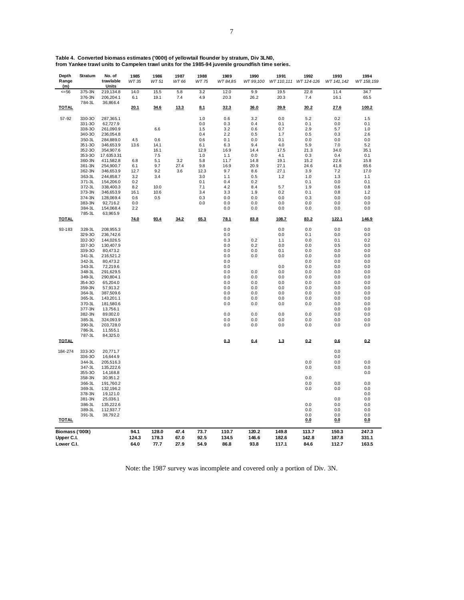|  |  |  |  |  | Table 4.  Converted biomass estimates ('000t) of yellowtail flounder by stratum, Div 3LN0, |  |
|--|--|--|--|--|--------------------------------------------------------------------------------------------|--|
|  |  |  |  |  |                                                                                            |  |

**from Yankee trawl units to Campelen trawl units for the 1985-94 juvenile groundfish time series.**

| Depth<br>Range<br>(m) | Stratum          | No. of<br>trawlable<br>Units | 1985<br>WT 35 | 1986<br>WT 51 | 1987<br>WT 66 | 1988<br>WT 75 | 1989<br>WT 84,85 | 1990<br>WT 99,100 | 1991         | 1992<br>WT 110,111 WT 124-126 | 1993<br>WT 141, 142 | 1994<br>WT 158, 159 |
|-----------------------|------------------|------------------------------|---------------|---------------|---------------|---------------|------------------|-------------------|--------------|-------------------------------|---------------------|---------------------|
| $= 56$                | 375-3N<br>376-3N | 219,134.8<br>206,204.1       | 14.0<br>6.1   | 15.5<br>19.1  | 5.8<br>7.4    | 3.2<br>4.9    | 12.0<br>20.3     | 9.9<br>26.2       | 19.5<br>20.3 | 22.8<br>7.4                   | 11.4<br>16.1        | 34.7<br>65.5        |
| <b>TOTAL</b>          | 784-3L           | 36,866.4                     | 20.1          | 34.6          | 13.3          | 8.1           | 32.3             | 36.0              | 39.9         | 30.2                          | 27.6                | 100.2               |
| 57-92                 | 330-30           | 287,365.1                    |               |               |               | 1.0           | 0.6              | 3.2               | 0.0          | 5.2                           | 0.2                 | 1.5                 |
|                       | 331-30           | 62,727.9                     |               |               |               | 0.0           | 0.3              | 0.4               | 0.1          | 0.1                           | 0.0                 | 0.1                 |
|                       | 338-30           | 261,090.9                    |               | 6.6           |               | 1.5           | 3.2              | 0.6               | 0.7          | 2.9                           | 5.7                 | 1.0                 |
|                       | 340-30           | 236,054.8                    |               |               |               | 0.4           | 2.2              | 0.5               | 1.7          | 0.5                           | 0.3                 | 2.6                 |
|                       | 350-3L           | 284,889.0                    | 4.5           | 0.6           |               | 0.6           | 0.1              | 0.0               | 0.1          | 0.0                           | 0.0                 | 0.0                 |
|                       | 351-3O           | 346,653.9                    | 13.6          | 14.1          |               | 6.1           | 6.3              | 9.4               | 4.0          | 5.9                           | 7.0                 | 5.2                 |
|                       | 352-30           | 354,907.6                    |               | 16.1          |               | 12.9          | 16.9             | 14.4              | 17.5         | 21.3                          | 34.0                | 35.1                |
|                       | 353-30           | 17.6353.31                   |               | 7.5           |               | 1.0           | 1.1              | 0.0               | 4.1          | 0.3                           | 0.4                 | 0.1                 |
|                       | 360-3N           | 411,582.8                    | 6.8           | 5.1           | 3.2           | 5.8           | 11.7             | 14.8              | 19.1         | 15.2                          | 22.6                | 15.8                |
|                       | 361-3N           | 254,900.7                    | 6.1           | 9.7           | 27.4          | 9.8           | 16.9             | 20.9              | 27.1         | 24.6                          | 41.8                | 65.6                |
|                       | 362-3N           | 346,653.9                    | 12.7          | 9.2           | 3.6           | 12.3          | 9.7              | $_{\rm 8.6}$      | 27.1         | 3.9                           | 7.2                 | 17.0                |
|                       | 363-3L           | 244,858.7                    | 3.2           | 3.4           |               | 3.0           | 1.1              | 0.5               | 1.2          | 1.0                           | 1.3                 | 1.1                 |
|                       | 371-3L           | 154,206.0                    | 0.2           |               |               | 0.1           | 0.4              | 0.2               |              | 0.1                           | 0.0                 | 0.1                 |
|                       | 372-3L           | 338,400.3                    | 8.2           | 10.0          |               | 7.1           | 4.2              | 8.4               | 5.7          | 1.9                           | 0.6                 | 0.8                 |
|                       | 373-3N           | 346,653.9                    | 16.1          | 10.6          |               | 3.4           | 3.3              | 1.9               | 0.2          | 0.1                           | 0.8                 | 1.2                 |
|                       | 374-3N           | 128,069.4                    | 0.6           | 0.5           |               | 0.3           | $0.0\,$          | 0.0               | 0.0          | 0.3                           | 0.0                 | 0.0                 |
|                       | 383-3N           | 92,716.2                     | 0.0           |               |               | 0.0           | 0.0              | 0.0               | 0.0          | 0.0                           | 0.0                 | 0.0                 |
|                       | 384-3L<br>785-3L | 154,068.4<br>63,965.9        | 2.2           |               |               |               | 0.0              | 0.0               | 0.0          | 0.0                           | 0.0                 | 0.0                 |
| <b>TOTAL</b>          |                  |                              | 74.0          | 93.4          | 34.2          | 65.3          | 78.1             | 83.8              | 108.7        | 83.2                          | 122.1               | 146.9               |
| 93-183                | 328-3L           | 208,955.3                    |               |               |               |               | 0.0              |                   | 0.0          | 0.0                           | 0.0                 | 0.0                 |
|                       | 329-30           | 236,742.6                    |               |               |               |               | 0.0              |                   | 0.0          | 0.1                           | 0.0                 | 0.0                 |
|                       | 332-30           | 144,026.5                    |               |               |               |               | 0.3              | 0.2               | 1.1          | 0.0                           | 0.1                 | 0.2                 |
|                       | 337-30           | 130,407.9                    |               |               |               |               | 0.0              | 0.2               | 0.0          | 0.0                           | 0.5                 | 0.0                 |
|                       | 339-30           | 80,473.2                     |               |               |               |               | 0.0              | 0.0               | 0.1          | 0.0                           | 0.0                 | 0.0                 |
|                       | 341-3L           | 216,521.2                    |               |               |               |               | 0.0              | 0.0               | 0.0          | 0.0                           | 0.0                 | 0.0                 |
|                       | 342-3L           | 80,473.2                     |               |               |               |               | 0.0              |                   |              | 0.0                           | 0.0                 | 0.0                 |
|                       | 343-3L           | 72,219.6                     |               |               |               |               | 0.0              |                   | 0.0          | 0.0                           | 0.0                 | 0.0                 |
|                       | 348-3L           | 291,629.5                    |               |               |               |               | 0.0              | 0.0               | 0.0          | 0.0                           | 0.0                 | 0.0                 |
|                       | 349-3L           | 290,804.1                    |               |               |               |               | 0.0              | 0.0               | 0.0          | 0.0                           | 0.0                 | 0.0                 |
|                       | 354-30           | 65,204.0                     |               |               |               |               | 0.0              | 0.0               | 0.0          | 0.0                           | 0.0                 | 0.0                 |
|                       | 359-3N           | 57,913.2                     |               |               |               |               | 0.0              | 0.0               | 0.0          | 0.0                           | 0.0                 | 0.0                 |
|                       | 364-3L           | 387,509.6                    |               |               |               |               | 0.0              | 0.0               | 0.0          | 0.0                           | 0.0                 | 0.0                 |
|                       | 365-3L           | 143,201.1                    |               |               |               |               | 0.0              | 0.0               | 0.0          | 0.0                           | 0.0                 | 0.0                 |
|                       | 370-3L           | 181,580.6                    |               |               |               |               | 0.0              | 0.0               | 0.0          | 0.0                           | 0.0                 | 0.0                 |
|                       | 377-3N           | 13,756.1                     |               |               |               |               |                  |                   |              |                               | 0.0                 | 0.0                 |
|                       | 382-3N           | 89,002.0                     |               |               |               |               | 0.0              | 0.0               | 0.0          | 0.0                           | 0.0                 | 0.0                 |
|                       | 385-3L           | 324,093.9                    |               |               |               |               | 0.0              | 0.0               | 0.0          | 0.0                           | 0.0                 | 0.0                 |
|                       | 390-3L           | 203,728.0                    |               |               |               |               | 0.0              | 0.0               | 0.0          | 0.0                           | 0.0                 | 0.0                 |
|                       | 786-3L           | 11,555.1                     |               |               |               |               |                  |                   |              |                               |                     |                     |
|                       | 787-3L           | 84,325.0                     |               |               |               |               |                  |                   |              |                               |                     |                     |
| <b>TOTAL</b>          |                  |                              |               |               |               |               | 0.3              | 0.4               | 1.3          | 0.2                           | 0.6                 | 0.2                 |
| 184-274               | 333-30           | 20,771.7                     |               |               |               |               |                  |                   |              |                               | 0.0                 |                     |
|                       | 336-30           | 16,644.9                     |               |               |               |               |                  |                   |              |                               | 0.0                 |                     |
|                       | 344-3L           | 205,516.3                    |               |               |               |               |                  |                   |              | 0.0                           | 0.0                 | 0.0                 |
|                       | 347-3L           | 135,222.6                    |               |               |               |               |                  |                   |              | 0.0                           | 0.0                 | 0.0                 |
|                       | 355-30           | 14,168.8                     |               |               |               |               |                  |                   |              |                               |                     | 0.0                 |
|                       | 358-3N           | 30,951.2                     |               |               |               |               |                  |                   |              | 0.0                           |                     |                     |
|                       | 366-3L           | 191,760.2                    |               |               |               |               |                  |                   |              | 0.0                           | 0.0                 | 0.0                 |
|                       | 369-3L           | 132,196.2                    |               |               |               |               |                  |                   |              | 0.0                           | 0.0                 | 0.0                 |
|                       | 378-3N           | 19,121.0                     |               |               |               |               |                  |                   |              |                               |                     | 0.0                 |
|                       | 381-3N           | 25,036.1                     |               |               |               |               |                  |                   |              |                               | 0.0                 | 0.0                 |
|                       | 386-3L           | 135,222.6                    |               |               |               |               |                  |                   |              | 0.0                           | 0.0                 | 0.0                 |
|                       | 389-3L           | 112,937.7                    |               |               |               |               |                  |                   |              | 0.0                           | 0.0                 | 0.0                 |
|                       | 391-3L           | 38,792.2                     |               |               |               |               |                  |                   |              | 0.0                           | 0.0                 | 0.0                 |
| <b>TOTAL</b>          |                  |                              |               |               |               |               |                  |                   |              | <u>0.0</u>                    | <u>0.0</u>          | 0.0                 |
| Biomass ('000t)       |                  |                              | 94.1          | 128.0         | 47.4          | 73.7          | 110.7            | 120.2             | 149.8        | 113.7                         | 150.3               | 247.3               |
| Upper C.I.            |                  |                              | 124.3         | 178.3         | 67.0          | 92.5          | 134.5            | 146.6             | 182.6        | 142.8                         | 187.8               | 331.1               |
|                       |                  |                              |               |               | 27.9          |               |                  |                   | 117.1        |                               |                     |                     |
| Lower C.I.            |                  |                              | 64.0          | 77.7          |               | 54.9          | 86.8             | 93.8              |              | 84.6                          | 112.7               | 163.5               |

Note: the 1987 survey was incomplete and covered only a portion of Div. 3N.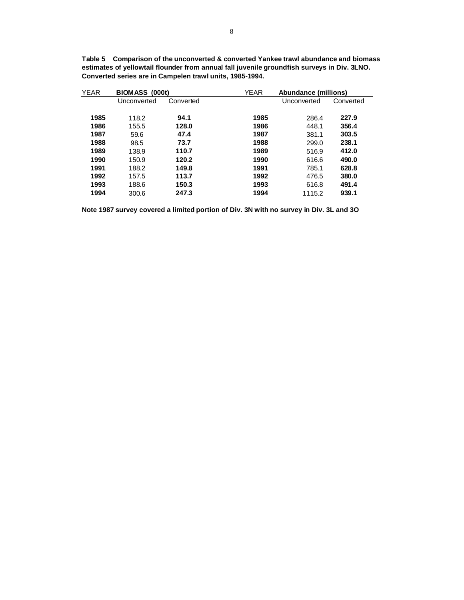| <b>YEAR</b> | BIOMASS (000t) |           | <b>YEAR</b> | Abundance (millions) |           |  |
|-------------|----------------|-----------|-------------|----------------------|-----------|--|
|             | Unconverted    | Converted |             | Unconverted          | Converted |  |
|             |                |           |             |                      |           |  |
| 1985        | 118.2          | 94.1      | 1985        | 286.4                | 227.9     |  |
| 1986        | 155.5          | 128.0     | 1986        | 448.1                | 356.4     |  |
| 1987        | 59.6           | 47.4      | 1987        | 381.1                | 303.5     |  |
| 1988        | 98.5           | 73.7      | 1988        | 299.0                | 238.1     |  |
| 1989        | 138.9          | 110.7     | 1989        | 516.9                | 412.0     |  |
| 1990        | 150.9          | 120.2     | 1990        | 616.6                | 490.0     |  |
| 1991        | 188.2          | 149.8     | 1991        | 785.1                | 628.8     |  |
| 1992        | 157.5          | 113.7     | 1992        | 476.5                | 380.0     |  |
| 1993        | 188.6          | 150.3     | 1993        | 616.8                | 491.4     |  |
| 1994        | 300.6          | 247.3     | 1994        | 1115.2               | 939.1     |  |

**Table 5 Comparison of the unconverted & converted Yankee trawl abundance and biomass estimates of yellowtail flounder from annual fall juvenile groundfish surveys in Div. 3LNO. Converted series are in Campelen trawl units, 1985-1994.**

**Note 1987 survey covered a limited portion of Div. 3N with no survey in Div. 3L and 3O**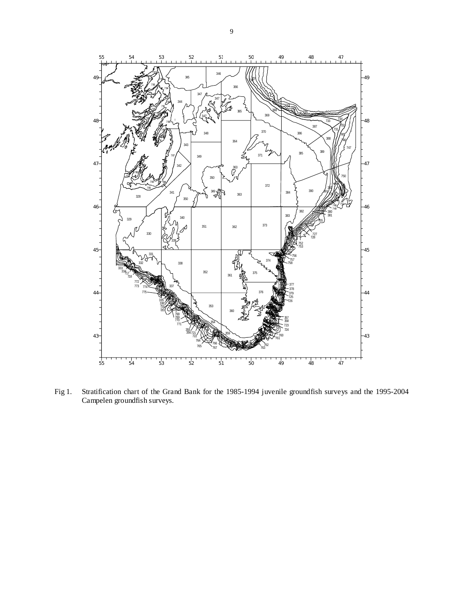

Fig 1. Stratification chart of the Grand Bank for the 1985-1994 juvenile groundfish surveys and the 1995-2004 Campelen groundfish surveys.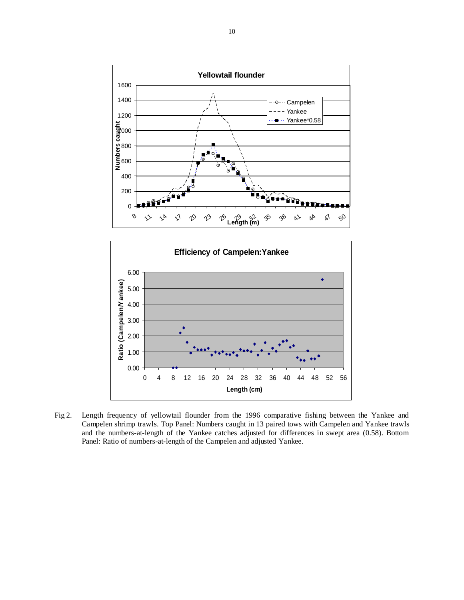



Fig 2. Length frequency of yellowtail flounder from the 1996 comparative fishing between the Yankee and Campelen shrimp trawls. Top Panel: Numbers caught in 13 paired tows with Campelen and Yankee trawls and the numbers-at-length of the Yankee catches adjusted for differences in swept area (0.58). Bottom Panel: Ratio of numbers-at-length of the Campelen and adjusted Yankee.